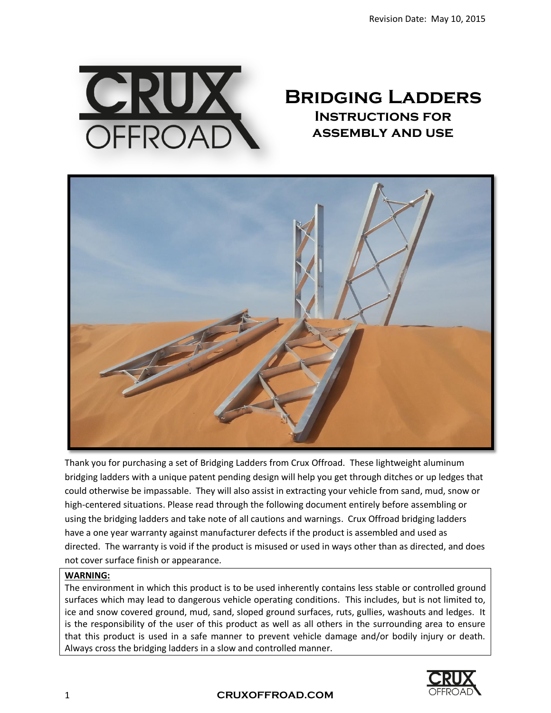

# **Bridging Ladders Instructions for assembly and use**



Thank you for purchasing a set of Bridging Ladders from Crux Offroad. These lightweight aluminum bridging ladders with a unique patent pending design will help you get through ditches or up ledges that could otherwise be impassable. They will also assist in extracting your vehicle from sand, mud, snow or high-centered situations. Please read through the following document entirely before assembling or using the bridging ladders and take note of all cautions and warnings. Crux Offroad bridging ladders have a one year warranty against manufacturer defects if the product is assembled and used as directed. The warranty is void if the product is misused or used in ways other than as directed, and does not cover surface finish or appearance.

#### **WARNING:**

The environment in which this product is to be used inherently contains less stable or controlled ground surfaces which may lead to dangerous vehicle operating conditions. This includes, but is not limited to, ice and snow covered ground, mud, sand, sloped ground surfaces, ruts, gullies, washouts and ledges. It is the responsibility of the user of this product as well as all others in the surrounding area to ensure that this product is used in a safe manner to prevent vehicle damage and/or bodily injury or death. Always cross the bridging ladders in a slow and controlled manner.

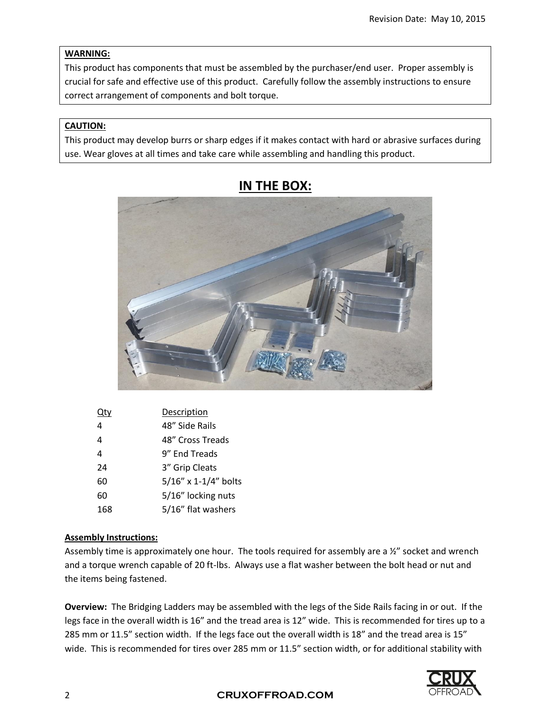## **WARNING:**

This product has components that must be assembled by the purchaser/end user. Proper assembly is crucial for safe and effective use of this product. Carefully follow the assembly instructions to ensure correct arrangement of components and bolt torque.

## **CAUTION:**

This product may develop burrs or sharp edges if it makes contact with hard or abrasive surfaces during use. Wear gloves at all times and take care while assembling and handling this product.



# **IN THE BOX:**

|     | Description          |
|-----|----------------------|
| 4   | 48" Side Rails       |
| 4   | 48" Cross Treads     |
| 4   | 9" End Treads        |
| 24  | 3" Grip Cleats       |
| 60  | 5/16" x 1-1/4" bolts |
| 60  | 5/16" locking nuts   |
| 168 | 5/16" flat washers   |

#### **Assembly Instructions:**

Assembly time is approximately one hour. The tools required for assembly are a ½" socket and wrench and a torque wrench capable of 20 ft-lbs. Always use a flat washer between the bolt head or nut and the items being fastened.

**Overview:** The Bridging Ladders may be assembled with the legs of the Side Rails facing in or out. If the legs face in the overall width is 16" and the tread area is 12" wide. This is recommended for tires up to a 285 mm or 11.5" section width. If the legs face out the overall width is 18" and the tread area is 15" wide. This is recommended for tires over 285 mm or 11.5" section width, or for additional stability with

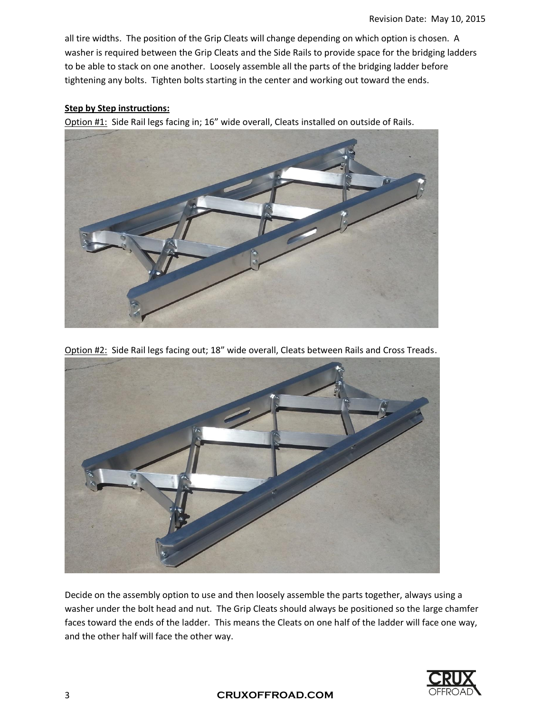all tire widths. The position of the Grip Cleats will change depending on which option is chosen. A washer is required between the Grip Cleats and the Side Rails to provide space for the bridging ladders to be able to stack on one another. Loosely assemble all the parts of the bridging ladder before tightening any bolts. Tighten bolts starting in the center and working out toward the ends.

#### **Step by Step instructions:**

Option #1: Side Rail legs facing in; 16" wide overall, Cleats installed on outside of Rails.



Option #2: Side Rail legs facing out; 18" wide overall, Cleats between Rails and Cross Treads.



Decide on the assembly option to use and then loosely assemble the parts together, always using a washer under the bolt head and nut. The Grip Cleats should always be positioned so the large chamfer faces toward the ends of the ladder. This means the Cleats on one half of the ladder will face one way, and the other half will face the other way.

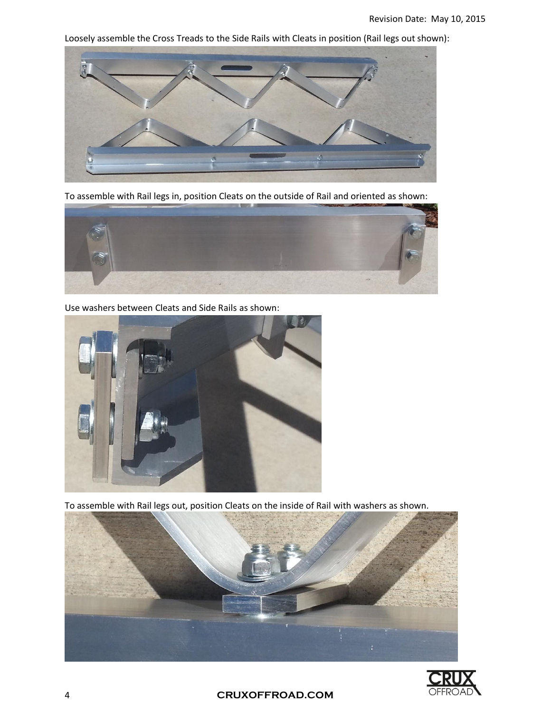Loosely assemble the Cross Treads to the Side Rails with Cleats in position (Rail legs out shown):



To assemble with Rail legs in, position Cleats on the outside of Rail and oriented as shown:



Use washers between Cleats and Side Rails as shown:



To assemble with Rail legs out, position Cleats on the inside of Rail with washers as shown.





4 **CRUXOFFROAD.COM**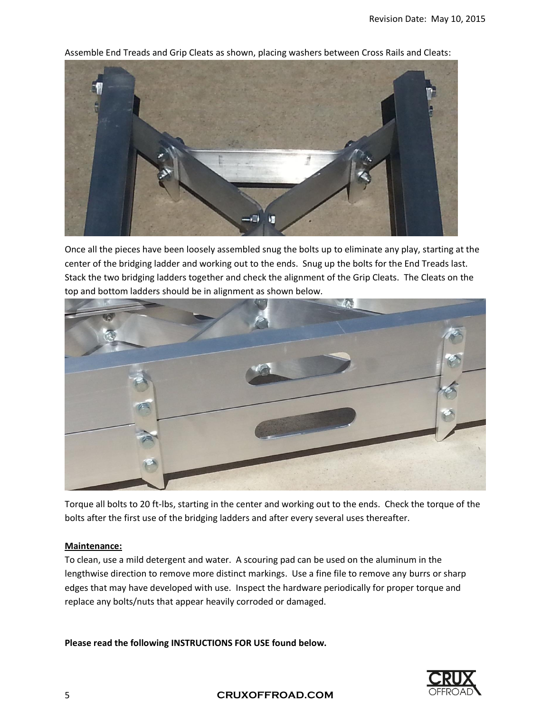

Assemble End Treads and Grip Cleats as shown, placing washers between Cross Rails and Cleats:

Once all the pieces have been loosely assembled snug the bolts up to eliminate any play, starting at the center of the bridging ladder and working out to the ends. Snug up the bolts for the End Treads last. Stack the two bridging ladders together and check the alignment of the Grip Cleats. The Cleats on the top and bottom ladders should be in alignment as shown below.



Torque all bolts to 20 ft-lbs, starting in the center and working out to the ends. Check the torque of the bolts after the first use of the bridging ladders and after every several uses thereafter.

#### **Maintenance:**

To clean, use a mild detergent and water. A scouring pad can be used on the aluminum in the lengthwise direction to remove more distinct markings. Use a fine file to remove any burrs or sharp edges that may have developed with use. Inspect the hardware periodically for proper torque and replace any bolts/nuts that appear heavily corroded or damaged.

**Please read the following INSTRUCTIONS FOR USE found below.**



5 **CRUXOFFROAD.COM**